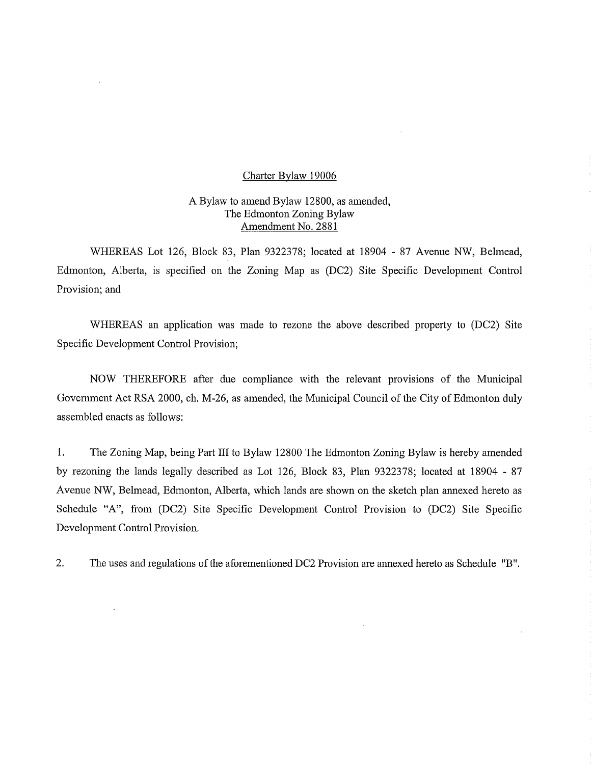### Charter Bylaw 19006

 $\mathcal{L}$ 

# A Bylaw to amend Bylaw 12800, as amended, The Edmonton Zoning Bylaw Amendment No. 2881

WHEREAS Lot 126, Block 83, Plan 9322378; located at 18904 - 87 Avenue NW, Belmead, Edmonton, Alberta, is specified on the Zoning Map as (DC2) Site Specific Development Control Provision; and

WHEREAS an application was made to rezone the above described property to (DC2) Site Specific Development Control Provision;

NOW THEREFORE after due compliance with the relevant provisions of the Municipal Government Act RSA 2000, ch. M-26, as amended, the Municipal Council of the City of Edmonton duly assembled enacts as follows:

1. The Zoning Map, being Part III to Bylaw 12800 The Edmonton Zoning Bylaw is hereby amended by rezoning the lands legally described as Lot 126, Block 83, Plan 9322378; located at 18904 - 87 Avenue NW, Belmead, Edmonton, Alberta, which lands are shown on the sketch plan annexed hereto as Schedule "A", from (DC2) Site Specific Development Control Provision to (DC2) Site Specific Development Control Provision.

2. The uses and regulations of the aforementioned DC2 Provision are annexed hereto as Schedule "B".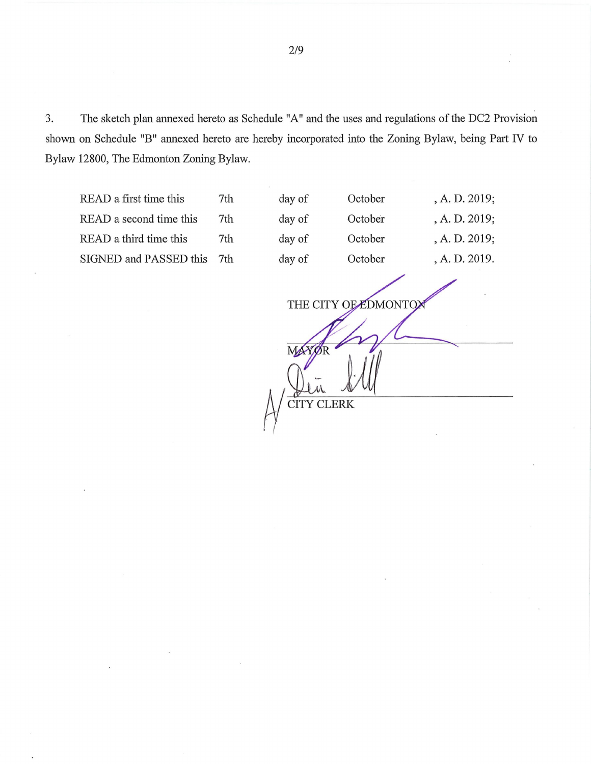3. The sketch plan annexed hereto as Schedule "A" and the uses and regulations of the DC2 Provision shown on Schedule "B" annexed hereto are hereby incorporated into the Zoning Bylaw, being Part IV to Bylaw 12800, The Edmonton Zoning Bylaw.

READ a first time this 7th day READ a second time this 7th day READ a third time this 7th day SIGNED and PASSED this 7th day

| of | October | , A. D. 2019; |
|----|---------|---------------|
| of | October | , A. D. 2019; |
| of | October | A. D. 2019;   |
| of | October | , A. D. 2019. |
|    |         |               |

THE CITY OF EDMONTOM

1., CITY CLERK

MA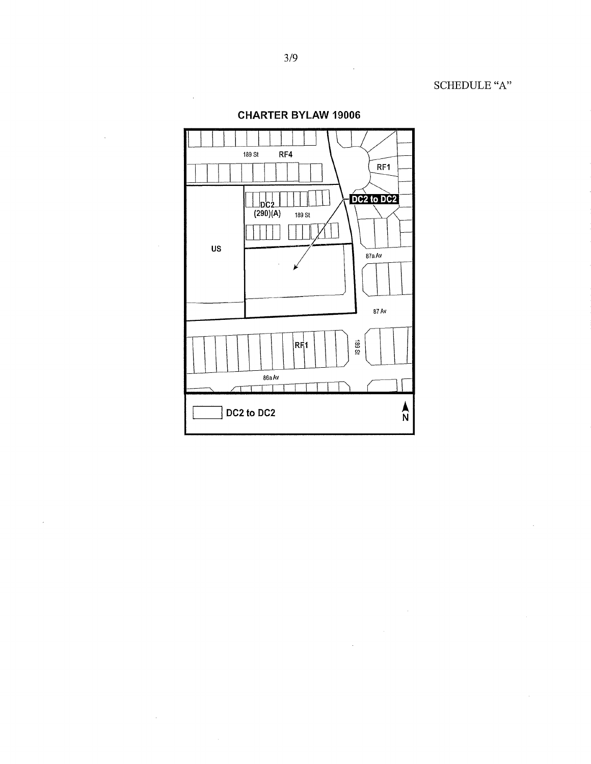SCHEDULE "A"



 $\bar{z}$ 

 $\hat{\phi}$ 

**CHARTER BYLAW 19006**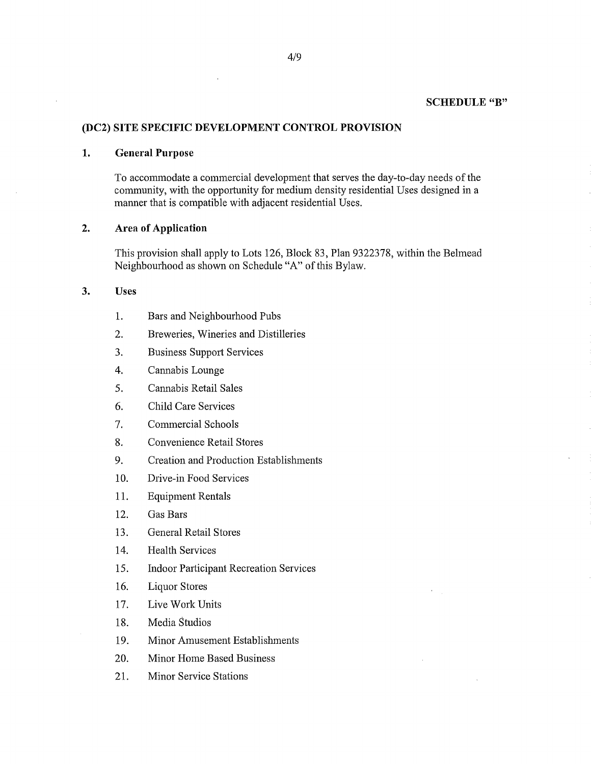### **SCHEDULE "B"**

## **(DC2) SITE SPECIFIC DEVELOPMENT CONTROL PROVISION**

#### **1. General Purpose**

To accommodate a commercial development that serves the day-to-day needs of the community, with the opportunity for medium density residential Uses designed in a manner that is compatible with adjacent residential Uses.

## **2. Area of Application**

This provision shall apply to Lots 126, Block 83, Plan 9322378, within the Belmead Neighbourhood as shown on Schedule "A" of this Bylaw.

### **3. Uses**

- 1. Bars and Neighbourhood Pubs
- 2. Breweries, Wineries and Distilleries
- 3. Business Support Services
- 4. Cannabis Lounge
- 5. Cannabis Retail Sales
- 6. Child Care Services
- 7. Commercial Schools
- 8. Convenience Retail Stores
- 9. Creation and Production Establishments
- 10. Drive-in Food Services
- 11. Equipment Rentals
- 12. Gas Bars
- 13. General Retail Stores
- 14. Health Services
- 15. Indoor Participant Recreation Services
- 16. Liquor Stores
- 17. Live Work Units
- 18. Media Studios
- 19. Minor Amusement Establishments
- 20. Minor Home Based Business
- 21. Minor Service Stations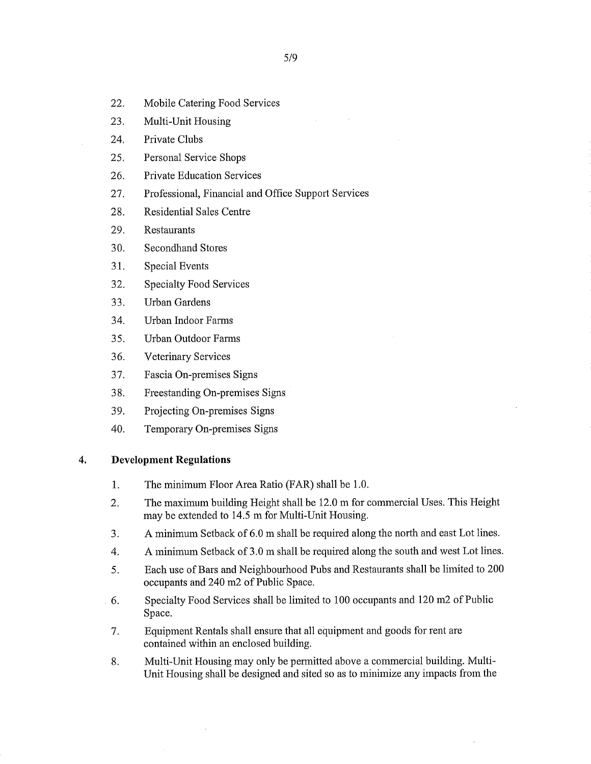- 22. Mobile Catering Food Services
- 23. Multi-Unit Housing
- 24. Private Clubs
- 25. Personal Service Shops
- 26. Private Education Services
- 27. Professional, Financial and Office Support Services
- 28. Residential Sales Centre
- 29. Restaurants
- 30. Secondhand Stores
- 31. Special Events
- 32. Specialty Food Services
- 33. Urban Gardens
- 34. Urban Indoor Farms
- 35. Urban Outdoor Farms
- 36. Veterinary Services
- 37. Fascia On-premises Signs
- 38. Freestanding On-premises Signs
- 39. Projecting On-premises Signs
- 40. Temporary On-premises Signs

## **4. Development Regulations**

- 1. The minimum Floor Area Ratio (FAR) shall be 1.0.
- 2. The maximum building Height shall be 12.0 m for commercial Uses. This Height may be extended to 14.5 m for Multi-Unit Housing.
- 3. A minimum Setback of 6.0 m shall be required along the north and east Lot lines.
- 4. A minimum Setback of 3.0 m shall be required along the south and west Lot lines.
- 5. Each use of Bars and Neighbourhood Pubs and Restaurants shall be limited to 200 occupants and 240 m2 of Public Space.
- 6. Specialty Food Services shall be limited to 100 occupants and 120 m2 of Public Space.
- 7. Equipment Rentals shall ensure that all equipment and goods for rent are contained within an enclosed building.
- 8. Multi-Unit Housing may only be permitted above a commercial building. Multi-Unit Housing shall be designed and sited so as to minimize any impacts from the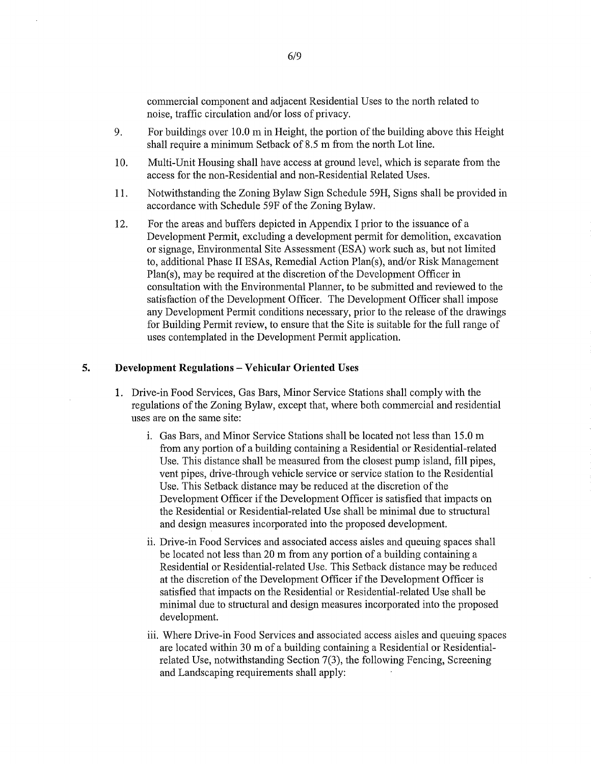commercial component and adjacent Residential Uses to the north related to noise, traffic circulation and/or loss of privacy.

- 9. For buildings over 10.0 m in Height, the portion of the building above this Height shall require a minimum Setback of 8.5 m from the north Lot line.
- 10. Multi-Unit Housing shall have access at ground level, which is separate from the access for the non-Residential and non-Residential Related Uses.
- 11. Notwithstanding the Zoning Bylaw Sign Schedule 59H, Signs shall be provided in accordance with Schedule 59F of the Zoning Bylaw.
- 12. For the areas and buffers depicted in Appendix I prior to the issuance of a Development Permit, excluding a development permit for demolition, excavation or signage, Environmental Site Assessment (ESA) work such as, but not limited to, additional Phase II ESAs, Remedial Action Plan(s), and/or Risk Management Plan(s), may be required at the discretion of the Development Officer in consultation with the Environmental Planner, to be submitted and reviewed to the satisfaction of the Development Officer. The Development Officer shall impose any Development Permit conditions necessary, prior to the release of the drawings for Building Permit review, to ensure that the Site is suitable for the full range of uses contemplated in the Development Permit application.

#### 5. Development Regulations — Vehicular Oriented Uses

- 1. Drive-in Food Services, Gas Bars, Minor Service Stations shall comply with the regulations of the Zoning Bylaw, except that, where both commercial and residential uses are on the same site:
	- i. Gas Bars, and Minor Service Stations shall be located not less than 15.0 m from any portion of a building containing a Residential or Residential-related Use. This distance shall be measured from the closest pump island, fill pipes, vent pipes, drive-through vehicle service or service station to the Residential Use. This Setback distance may be reduced at the discretion of the Development Officer if the Development Officer is satisfied that impacts on the Residential or Residential-related Use shall be minimal due to structural and design measures incorporated into the proposed development.
	- ii. Drive-in Food Services and associated access aisles and queuing spaces shall be located not less than 20 m from any portion of a building containing a Residential or Residential-related Use. This Setback distance may be reduced at the discretion of the Development Officer if the Development Officer is satisfied that impacts on the Residential or Residential-related Use shall be minimal due to structural and design measures incorporated into the proposed development.
	- Where Drive-in Food Services and associated access aisles and queuing spaces are located within 30 m of a building containing a Residential or Residentialrelated Use, notwithstanding Section 7(3), the following Fencing, Screening and Landscaping requirements shall apply: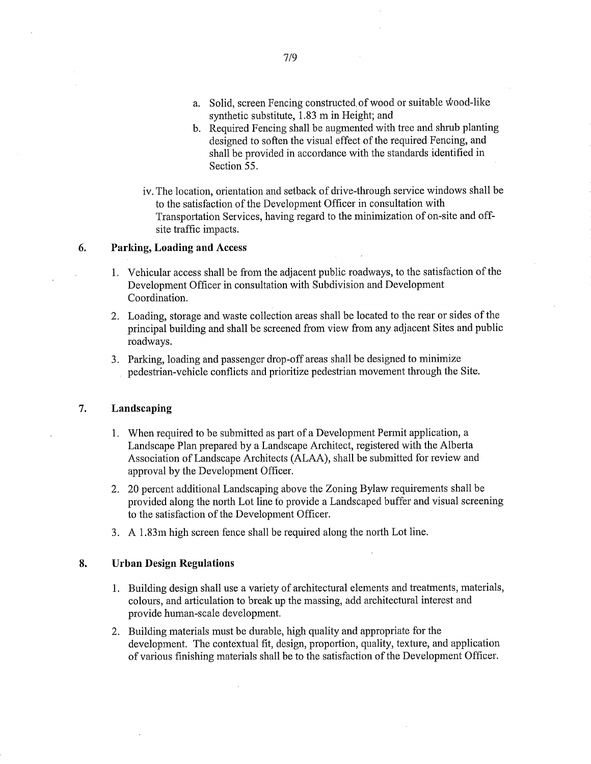- a. Solid, screen Fencing constructed of wood or suitable Wood-like synthetic substitute, 1.83 m in Height; and
- b. Required Fencing shall be augmented with tree and shrub planting designed to soften the visual effect of the required Fencing, and shall be provided in accordance with the standards identified in Section 55.
- iv. The location, orientation and setback of drive-through service windows shall be to the satisfaction of the Development Officer in consultation with Transportation Services, having regard to the minimization of on-site and offsite traffic impacts.

### 6. Parking, Loading and Access

- 1. Vehicular access shall be from the adjacent public roadways, to the satisfaction of the Development Officer in consultation with Subdivision and Development Coordination.
- 2. Loading, storage and waste collection areas shall be located to the rear or sides of the principal building and shall be screened from view from any adjacent Sites and public roadways.
- 3. Parking, loading and passenger drop-off areas shall be designed to minimize pedestrian-vehicle conflicts and prioritize pedestrian movement through the Site.

### 7. Landscaping

- 1. When required to be submitted as part of a Development Permit application, a Landscape Plan prepared by a Landscape Architect, registered with the Alberta Association of Landscape Architects (ALAA), shall be submitted for review and approval by the Development Officer.
- 2. 20 percent additional Landscaping above the Zoning Bylaw requirements shall be provided along the north Lot line to provide a Landscaped buffer and visual screening to the satisfaction of the Development Officer.
- 3. A 1.83m high screen fence shall be required along the north Lot line.

### 8. Urban Design Regulations

- 1. Building design shall use a variety of architectural elements and treatments, materials, colours, and articulation to break up the massing, add architectural interest and provide human-scale development.
- 2. Building materials must be durable, high quality and appropriate for the development. The contextual fit, design, proportion, quality, texture, and application of various finishing materials shall be to the satisfaction of the Development Officer.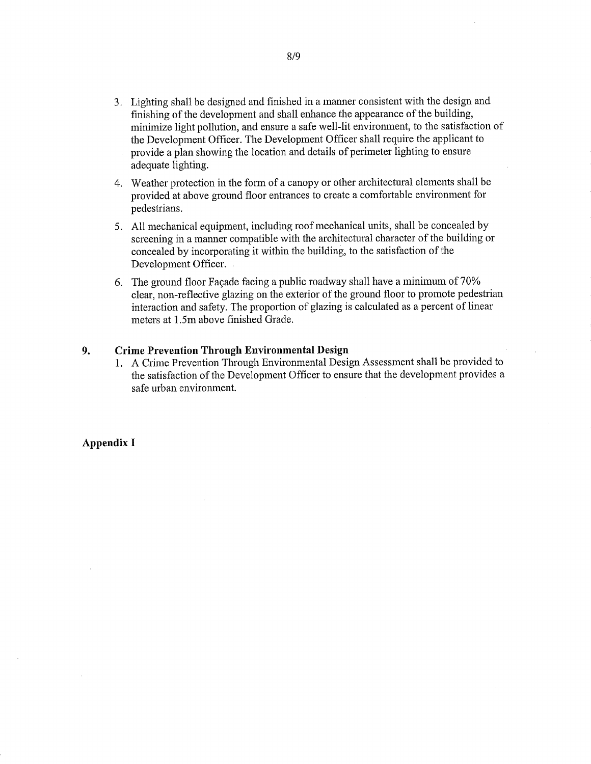- 3. Lighting shall be designed and finished in a manner consistent with the design and finishing of the development and shall enhance the appearance of the building, minimize light pollution, and ensure a safe well-lit environment, to the satisfaction of the Development Officer. The Development Officer shall require the applicant to provide a plan showing the location and details of perimeter lighting to ensure adequate lighting.
- 4. Weather protection in the form of a canopy or other architectural elements shall be provided at above ground floor entrances to create a comfortable environment for pedestrians.
- S. All mechanical equipment, including roof mechanical units, shall be concealed by screening in a manner compatible with the architectural character of the building or concealed by incorporating it within the building, to the satisfaction of the Development Officer.
- 6. The ground floor Façade facing a public roadway shall have a minimum of 70% clear, non-reflective glazing on the exterior of the ground floor to promote pedestrian interaction and safety. The proportion of glazing is calculated as a percent of linear meters at 1.5m above finished Grade.

## 9. Crime Prevention Through Environmental Design

1. A Crime Prevention Through Environmental Design Assessment shall be provided to the satisfaction of the Development Officer to ensure that the development provides a safe urban environment.

#### Appendix I